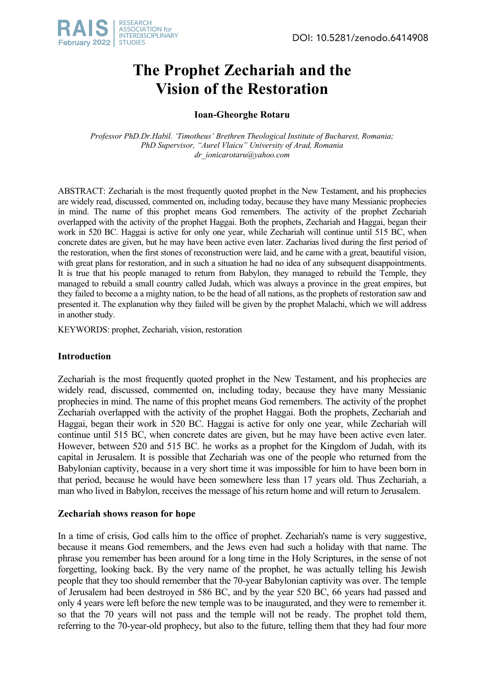

# **The Prophet Zechariah and the Vision of the Restoration**

**Ioan-Gheorghe Rotaru**

*Professor PhD.Dr.Habil. 'Timotheus' Brethren Theological Institute of Bucharest, Romania; PhD Supervisor, "Aurel Vlaicu" University of Arad, Romania dr\_ionicarotaru@yahoo.com*

ABSTRACT: Zechariah is the most frequently quoted prophet in the New Testament, and his prophecies are widely read, discussed, commented on, including today, because they have many Messianic prophecies in mind. The name of this prophet means God remembers. The activity of the prophet Zechariah overlapped with the activity of the prophet Haggai. Both the prophets, Zechariah and Haggai, began their work in 520 BC. Haggai is active for only one year, while Zechariah will continue until 515 BC, when concrete dates are given, but he may have been active even later. Zacharias lived during the first period of the restoration, when the first stones of reconstruction were laid, and he came with a great, beautiful vision, with great plans for restoration, and in such a situation he had no idea of any subsequent disappointments. It is true that his people managed to return from Babylon, they managed to rebuild the Temple, they managed to rebuild a small country called Judah, which was always a province in the great empires, but they failed to become a a mighty nation, to be the head of all nations, as the prophets of restoration saw and presented it. The explanation why they failed will be given by the prophet Malachi, which we will address in another study.

KEYWORDS: prophet, Zechariah, vision, restoration

# **Introduction**

Zechariah is the most frequently quoted prophet in the New Testament, and his prophecies are widely read, discussed, commented on, including today, because they have many Messianic prophecies in mind. The name of this prophet means God remembers. The activity of the prophet Zechariah overlapped with the activity of the prophet Haggai. Both the prophets, Zechariah and Haggai, began their work in 520 BC. Haggai is active for only one year, while Zechariah will continue until 515 BC, when concrete dates are given, but he may have been active even later. However, between 520 and 515 BC. he works as a prophet for the Kingdom of Judah, with its capital in Jerusalem. It is possible that Zechariah was one of the people who returned from the Babylonian captivity, because in a very short time it was impossible for him to have been born in that period, because he would have been somewhere less than 17 years old. Thus Zechariah, a man who lived in Babylon, receives the message of his return home and will return to Jerusalem.

# **Zechariah shows reason for hope**

In a time of crisis, God calls him to the office of prophet. Zechariah's name is very suggestive, because it means God remembers, and the Jews even had such a holiday with that name. The phrase you remember has been around for a long time in the Holy Scriptures, in the sense of not forgetting, looking back. By the very name of the prophet, he was actually telling his Jewish people that they too should remember that the 70-year Babylonian captivity was over. The temple of Jerusalem had been destroyed in 586 BC, and by the year 520 BC, 66 years had passed and only 4 years were left before the new temple was to be inaugurated, and they were to remember it. so that the 70 years will not pass and the temple will not be ready. The prophet told them, referring to the 70-year-old prophecy, but also to the future, telling them that they had four more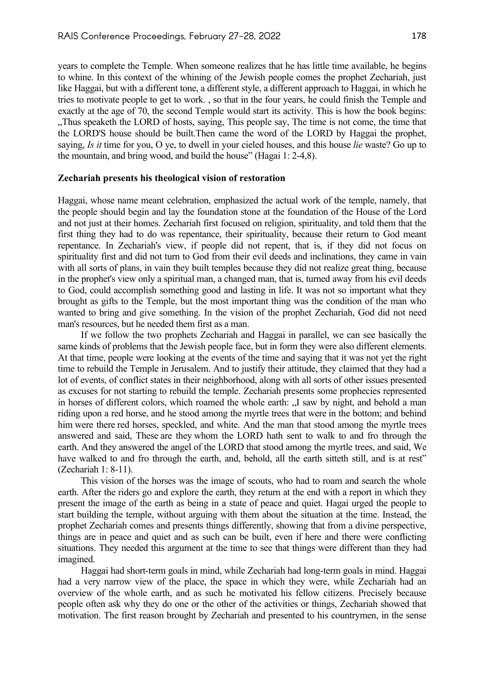years to complete the Temple. When someone realizes that he has little time available, he begins to whine. In this context of the whining of the Jewish people comes the prophet Zechariah, just like Haggai, but with a different tone, a different style, a different approach to Haggai, in which he tries to motivate people to get to work. , so that in the four years, he could finish the Temple and exactly at the age of 70, the second Temple would start its activity. This is how the book begins: "Thus speaketh the LORD of hosts, saying, This people say, The time is not come, the time that the LORD'S house should be built.Then came the word of the LORD by Haggai the prophet, saying, *Is it* time for you, O ye, to dwell in your cieled houses, and this house *lie* waste? Go up to the mountain, and bring wood, and build the house" (Hagai 1: 2-4,8).

## **Zechariah presents his theological vision of restoration**

Haggai, whose name meant celebration, emphasized the actual work of the temple, namely, that the people should begin and lay the foundation stone at the foundation of the House of the Lord and not just at their homes. Zechariah first focused on religion, spirituality, and told them that the first thing they had to do was repentance, their spirituality, because their return to God meant repentance. In Zechariah's view, if people did not repent, that is, if they did not focus on spirituality first and did not turn to God from their evil deeds and inclinations, they came in vain with all sorts of plans, in vain they built temples because they did not realize great thing, because in the prophet's view only a spiritual man, a changed man, that is, turned away from his evil deeds to God, could accomplish something good and lasting in life. It was not so important what they brought as gifts to the Temple, but the most important thing was the condition of the man who wanted to bring and give something. In the vision of the prophet Zechariah, God did not need man's resources, but he needed them first as a man.

If we follow the two prophets Zechariah and Haggai in parallel, we can see basically the same kinds of problems that the Jewish people face, but in form they were also different elements. At that time, people were looking at the events of the time and saying that it was not yet the right time to rebuild the Temple in Jerusalem. And to justify their attitude, they claimed that they had a lot of events, of conflict states in their neighborhood, along with all sorts of other issues presented as excuses for not starting to rebuild the temple. Zechariah presents some prophecies represented in horses of different colors, which roamed the whole earth: "I saw by night, and behold a man riding upon a red horse, and he stood among the myrtle trees that were in the bottom; and behind him were there red horses, speckled, and white. And the man that stood among the myrtle trees answered and said, These are they whom the LORD hath sent to walk to and fro through the earth. And they answered the angel of the LORD that stood among the myrtle trees, and said, We have walked to and fro through the earth, and, behold, all the earth sitteth still, and is at rest" (Zechariah 1: 8-11).

This vision of the horses was the image of scouts, who had to roam and search the whole earth. After the riders go and explore the earth, they return at the end with a report in which they present the image of the earth as being in a state of peace and quiet. Hagai urged the people to start building the temple, without arguing with them about the situation at the time. Instead, the prophet Zechariah comes and presents things differently, showing that from a divine perspective, things are in peace and quiet and as such can be built, even if here and there were conflicting situations. They needed this argument at the time to see that things were different than they had imagined.

Haggai had short-term goals in mind, while Zechariah had long-term goals in mind. Haggai had a very narrow view of the place, the space in which they were, while Zechariah had an overview of the whole earth, and as such he motivated his fellow citizens. Precisely because people often ask why they do one or the other of the activities or things, Zechariah showed that motivation. The first reason brought by Zechariah and presented to his countrymen, in the sense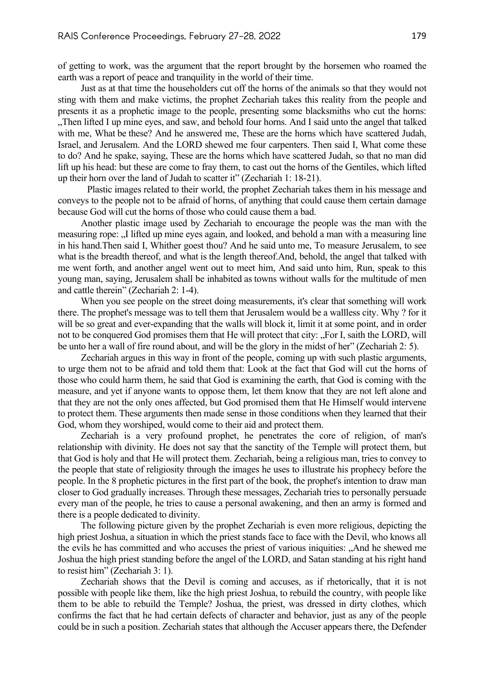of getting to work, was the argument that the report brought by the horsemen who roamed the earth was a report of peace and tranquility in the world of their time.

Just as at that time the householders cut off the horns of the animals so that they would not sting with them and make victims, the prophet Zechariah takes this reality from the people and presents it as a prophetic image to the people, presenting some blacksmiths who cut the horns: "Then lifted I up mine eyes, and saw, and behold four horns. And I said unto the angel that talked with me, What be these? And he answered me, These are the horns which have scattered Judah, Israel, and Jerusalem. And the LORD shewed me four carpenters. Then said I, What come these to do? And he spake, saying, These are the horns which have scattered Judah, so that no man did lift up his head: but these are come to fray them, to cast out the horns of the Gentiles, which lifted up their horn over the land of Judah to scatter it" (Zechariah 1: 18-21).

Plastic images related to their world, the prophet Zechariah takes them in his message and conveys to the people not to be afraid of horns, of anything that could cause them certain damage because God will cut the horns of those who could cause them a bad.

Another plastic image used by Zechariah to encourage the people was the man with the measuring rope: ... I lifted up mine eyes again, and looked, and behold a man with a measuring line in his hand.Then said I, Whither goest thou? And he said unto me, To measure Jerusalem, to see what is the breadth thereof, and what is the length thereof.And, behold, the angel that talked with me went forth, and another angel went out to meet him, And said unto him, Run, speak to this young man, saying, Jerusalem shall be inhabited as towns without walls for the multitude of men and cattle therein" (Zechariah 2: 1-4).

When you see people on the street doing measurements, it's clear that something will work there. The prophet's message was to tell them that Jerusalem would be a wallless city. Why ? for it will be so great and ever-expanding that the walls will block it, limit it at some point, and in order not to be conquered God promises them that He will protect that city: ...For I, saith the LORD, will be unto her a wall of fire round about, and will be the glory in the midst of her" (Zechariah 2: 5).

Zechariah argues in this way in front of the people, coming up with such plastic arguments, to urge them not to be afraid and told them that: Look at the fact that God will cut the horns of those who could harm them, he said that God is examining the earth, that God is coming with the measure, and yet if anyone wants to oppose them, let them know that they are not left alone and that they are not the only ones affected, but God promised them that He Himself would intervene to protect them. These arguments then made sense in those conditions when they learned that their God, whom they worshiped, would come to their aid and protect them.

Zechariah is a very profound prophet, he penetrates the core of religion, of man's relationship with divinity. He does not say that the sanctity of the Temple will protect them, but that God is holy and that He will protect them. Zechariah, being a religious man, tries to convey to the people that state of religiosity through the images he uses to illustrate his prophecy before the people. In the 8 prophetic pictures in the first part of the book, the prophet's intention to draw man closer to God gradually increases. Through these messages, Zechariah tries to personally persuade every man of the people, he tries to cause a personal awakening, and then an army is formed and there is a people dedicated to divinity.

The following picture given by the prophet Zechariah is even more religious, depicting the high priest Joshua, a situation in which the priest stands face to face with the Devil, who knows all the evils he has committed and who accuses the priest of various iniquities: "And he shewed me Joshua the high priest standing before the angel of the LORD, and Satan standing at his right hand to resist him" (Zechariah 3: 1).

Zechariah shows that the Devil is coming and accuses, as if rhetorically, that it is not possible with people like them, like the high priest Joshua, to rebuild the country, with people like them to be able to rebuild the Temple? Joshua, the priest, was dressed in dirty clothes, which confirms the fact that he had certain defects of character and behavior, just as any of the people could be in such a position. Zechariah states that although the Accuser appears there, the Defender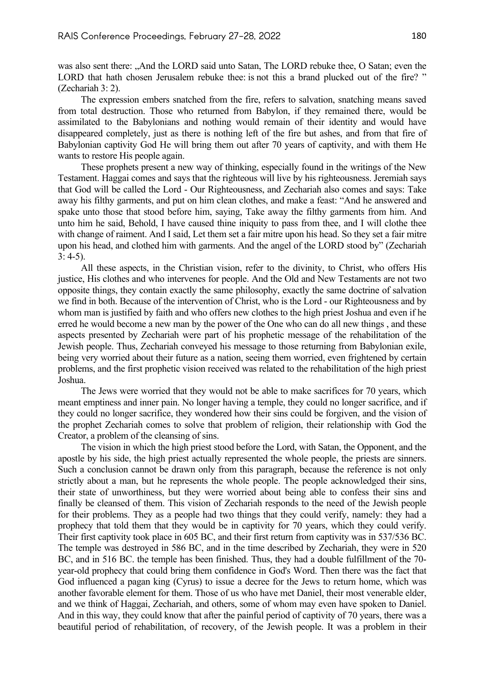was also sent there: "And the LORD said unto Satan, The LORD rebuke thee, O Satan; even the LORD that hath chosen Jerusalem rebuke thee: is not this a brand plucked out of the fire? " (Zechariah 3: 2).

The expression embers snatched from the fire, refers to salvation, snatching means saved from total destruction. Those who returned from Babylon, if they remained there, would be assimilated to the Babylonians and nothing would remain of their identity and would have disappeared completely, just as there is nothing left of the fire but ashes, and from that fire of Babylonian captivity God He will bring them out after 70 years of captivity, and with them He wants to restore His people again.

These prophets present a new way of thinking, especially found in the writings of the New Testament. Haggai comes and says that the righteous will live by his righteousness. Jeremiah says that God will be called the Lord - Our Righteousness, and Zechariah also comes and says: Take away his filthy garments, and put on him clean clothes, and make a feast: "And he answered and spake unto those that stood before him, saying, Take away the filthy garments from him. And unto him he said, Behold, I have caused thine iniquity to pass from thee, and I will clothe thee with change of raiment. And I said, Let them set a fair mitre upon his head. So they set a fair mitre upon his head, and clothed him with garments. And the angel of the LORD stood by" (Zechariah  $3: 4-5$ ).

All these aspects, in the Christian vision, refer to the divinity, to Christ, who offers His justice, His clothes and who intervenes for people. And the Old and New Testaments are not two opposite things, they contain exactly the same philosophy, exactly the same doctrine of salvation we find in both. Because of the intervention of Christ, who is the Lord - our Righteousness and by whom man is justified by faith and who offers new clothes to the high priest Joshua and even if he erred he would become a new man by the power of the One who can do all new things , and these aspects presented by Zechariah were part of his prophetic message of the rehabilitation of the Jewish people. Thus, Zechariah conveyed his message to those returning from Babylonian exile, being very worried about their future as a nation, seeing them worried, even frightened by certain problems, and the first prophetic vision received was related to the rehabilitation of the high priest Joshua.

The Jews were worried that they would not be able to make sacrifices for 70 years, which meant emptiness and inner pain. No longer having a temple, they could no longer sacrifice, and if they could no longer sacrifice, they wondered how their sins could be forgiven, and the vision of the prophet Zechariah comes to solve that problem of religion, their relationship with God the Creator, a problem of the cleansing of sins.

The vision in which the high priest stood before the Lord, with Satan, the Opponent, and the apostle by his side, the high priest actually represented the whole people, the priests are sinners. Such a conclusion cannot be drawn only from this paragraph, because the reference is not only strictly about a man, but he represents the whole people. The people acknowledged their sins, their state of unworthiness, but they were worried about being able to confess their sins and finally be cleansed of them. This vision of Zechariah responds to the need of the Jewish people for their problems. They as a people had two things that they could verify, namely: they had a prophecy that told them that they would be in captivity for 70 years, which they could verify. Their first captivity took place in 605 BC, and their first return from captivity was in 537/536 BC. The temple was destroyed in 586 BC, and in the time described by Zechariah, they were in 520 BC, and in 516 BC. the temple has been finished. Thus, they had a double fulfillment of the 70 year-old prophecy that could bring them confidence in God's Word. Then there was the fact that God influenced a pagan king (Cyrus) to issue a decree for the Jews to return home, which was another favorable element for them. Those of us who have met Daniel, their most venerable elder, and we think of Haggai, Zechariah, and others, some of whom may even have spoken to Daniel. And in this way, they could know that after the painful period of captivity of 70 years, there was a beautiful period of rehabilitation, of recovery, of the Jewish people. It was a problem in their